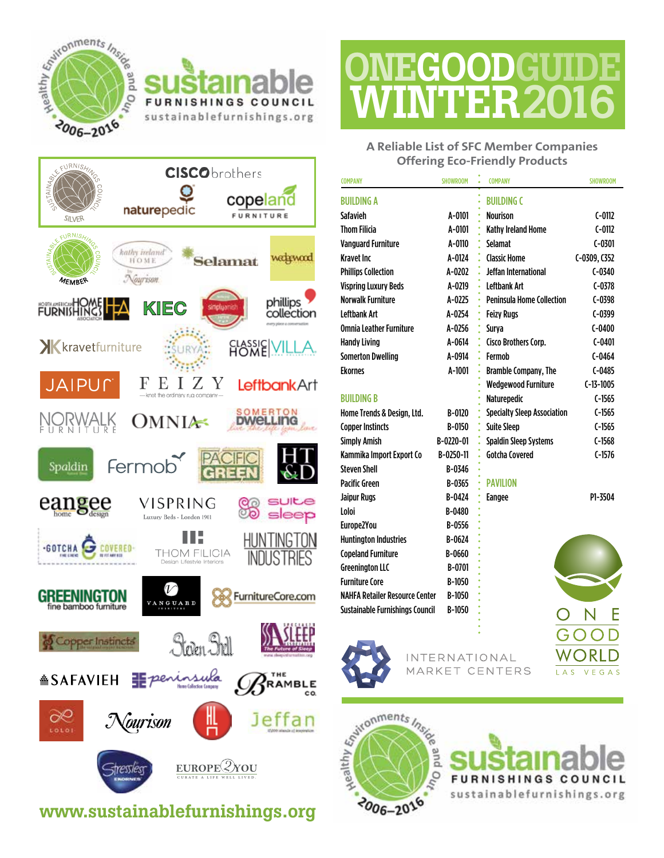

#### F<sub>U</sub> **NISHINGS**  $c<sub>o</sub>$ UNCIL sustainablefurnishings.org



### www.sustainablefurnishings.org

# **ONEGOODGUIDE** WINTER2016

**A Reliable List of SFC Member Companies Offering Eco-Friendly Products**

| <b>COMPANY</b>                        | <b>SHOWROOM</b> | <b>COMPANY</b>                     | <b>SHOWROOM</b> |
|---------------------------------------|-----------------|------------------------------------|-----------------|
| <b>BUILDING A</b>                     |                 | <b>BUILDING C</b>                  |                 |
| Safavieh                              | A-0101          | <b>Nourison</b>                    | $C-0112$        |
| <b>Thom Filicia</b>                   | A-0101          | Kathy Ireland Home                 | $C-0112$        |
| <b>Vanguard Furniture</b>             | A-0110          | <b>Selamat</b>                     | $C - 0301$      |
| <b>Kravet Inc</b>                     | A-0124          | <b>Classic Home</b>                | C-0309, C352    |
| <b>Phillips Collection</b>            | A-0202          | Jeffan International               | $C-0340$        |
| <b>Vispring Luxury Beds</b>           | A-0219          | Leftbank Art                       | $C-0378$        |
| <b>Norwalk Furniture</b>              | A-0225          | <b>Peninsula Home Collection</b>   | $C-0398$        |
| <b>Leftbank Art</b>                   | A-0254          | <b>Feizy Rugs</b>                  | $C-0399$        |
| <b>Omnia Leather Furniture</b>        | A-0256          | Surya                              | $C-0400$        |
| <b>Handy Living</b>                   | A-0614          | Cisco Brothers Corp.               | $C - 0401$      |
| <b>Somerton Dwelling</b>              | A-0914          | Fermob                             | $C-0464$        |
| <b>Ekornes</b>                        | A-1001          | <b>Bramble Company, The</b>        | $C-0485$        |
|                                       |                 | <b>Wedgewood Furniture</b>         | $C-13-1005$     |
| <b>BUILDING B</b>                     |                 | <b>Naturepedic</b>                 | $C-1565$        |
| Home Trends & Design, Ltd.            | B-0120          | <b>Specialty Sleep Association</b> | $C-1565$        |
| <b>Copper Instincts</b>               | B-0150          | <b>Suite Sleep</b>                 | $C-1565$        |
| <b>Simply Amish</b>                   | B-0220-01       | <b>Spaldin Sleep Systems</b>       | $C-1568$        |
| Kammika Import Export Co              | B-0250-11       | <b>Gotcha Covered</b>              | $C-1576$        |
| <b>Steven Shell</b>                   | B-0346          |                                    |                 |
| <b>Pacific Green</b>                  | B-0365          | <b>PAVILION</b>                    |                 |
| <b>Jaipur Rugs</b>                    | B-0424          | <b>Eangee</b>                      | P1-3504         |
| Loloi                                 | B-0480          |                                    |                 |
| Europe2You                            | B-0556          |                                    |                 |
| <b>Huntington Industries</b>          | B-0624          |                                    |                 |
| <b>Copeland Furniture</b>             | B-0660          |                                    |                 |
| <b>Greenington LLC</b>                | B-0701          |                                    |                 |
| <b>Furniture Core</b>                 | B-1050          |                                    |                 |
| <b>NAHFA Retailer Resource Center</b> | B-1050          |                                    |                 |



Sustainable Furnishings Council B-1050

**INTERNATIONAL** CENTERS MARKFT